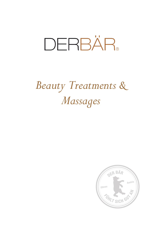# DERBÄR.

# *Beauty Treatments & Massages*

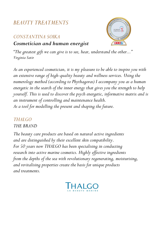# *BEAUTY TREATMENTS*

# *CONSTANTINA SOIKA*

# *Cosmetician and human energist*



*"The greatest gift we can give is to see, hear, understand the other..." Virginia Satir*

*As an experienced cosmetician, it is my pleasure to be able to inspire you with an extensive range of high-quality beauty and wellness services. Using the numerology method (according to Phythagoras) I accompany you as a human energetic in the search of the inner energy that gives you the strength to help yourself. This is used to discover the psych energetic, informative matrix and is an instrument of controlling and maintenance health. As a tool for modelling the present and shaping the future.*

#### *THALGO THE BRAND*

*The beauty care products are based on natural active ingredients and are distinguished by their excellent skin compatibility.*  For 50 years now THALGO has been specialising in conducting *research into active marine cosmetics. Highly effective ingredients from the depths of the sea with revolutionary regenerating, moisturising, and revitalising properties create the basis for unique products and treatments.* 

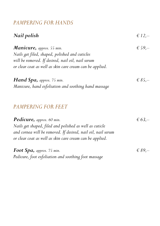# *PAMPERING FOR HANDS*

| Nail polish                                                  | $\in$ 12,-      |
|--------------------------------------------------------------|-----------------|
| Manicure, approx. 55 min.                                    | € 59, $-$       |
| Nails get filed, shaped, polished and cuticles               |                 |
| will be removed. If desired, nail oil, nail serum            |                 |
| or clear coat as well as skin care cream can be applied.     |                 |
| <b>Hand Spa, approx.</b> 75 min.                             | $\epsilon$ 85,- |
| Manicure, hand exfoliation and soothing hand massage         |                 |
| <b>PAMPERING FOR FEET</b>                                    |                 |
| Pedicure, approx. 60 min.                                    | € 63,—          |
| Nails get shaped, filed and polished as well as cuticle      |                 |
| and cornea will be removed. If desired, nail oil, nail serum |                 |
| or clear coat as well as skin care cream can be applied.     |                 |
| Foot Spa, approx. 75 min.                                    | $\in$ 89,-      |
| Pedicure, foot exfoliation and soothing foot massage         |                 |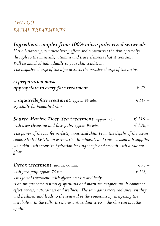# *THALGO FACIAL TREATMENTS*

*[Ingredient complex](https://www.linguee.de/englisch-deutsch/uebersetzung/ingredient+complex.html) from 100% micro pulverized seaweeds Has a balancing, remineralizing effect and moisturizes the skin optimally through to the minerals, vitamins and trace elements that it contains. Will be matched individually to your skin condition. The negative charge of the alga attracts the positive charge of the toxins.*

| as preparation mask<br>appropriate to every face treatment                            | $\epsilon$ 27. |
|---------------------------------------------------------------------------------------|----------------|
| or <b>aquarelle face treatment</b> , approx. 80 min.<br>especially for blemished skin | $\in$ 119,-    |

| <b>Source Marine Deep Sea treatment, approx. 75 min.</b> | $\epsilon$ 119,- |
|----------------------------------------------------------|------------------|
| with deep cleansing and face-palp, approx. 95 min.       | $\epsilon$ 136,- |

*The power of the sea for perfectly nourished skin. From the depths of the ocean comes SÈVE BLEUE, an extract rich in minerals and trace elements. It supplies your skin with intensive hydration leaving it soft and smooth with a radiant glow.*

| Detox treatment, approx. 60 min.                                                | € 93,—    |
|---------------------------------------------------------------------------------|-----------|
| with face-palp approx. 75 min.                                                  | $£ 123,-$ |
| This facial treatment, with effects on skin and body,                           |           |
| is an unique combination of spirulina and maritime magnesium. It combines       |           |
| effectiveness, naturalness and wellness. The skin gains more radiance, vitality |           |
| and freshness and leads to the renewal of the epidermis by energizing the       |           |
| metabolism in the cells. It relieves antioxidant stress - the skin can breathe  |           |

*again!*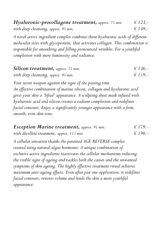*Hyaluronic-procollagene treatment, approx.* 75 min.  $\epsilon$  123,– *with deep cleansing, approx.* 95 min.  $\epsilon$  149,–

*A novel active ingredient complex combines three hyaluronic acids of different molecular sizes with glycoprotein, that activates collagen. This combination is responsible for smoothing and filling pronounced wrinkles. For a youthful complexion with more luminosity and radiance.*

| <b>Silicon treatment, approx.</b> 75 min. | $\epsilon$ 136.  |
|-------------------------------------------|------------------|
| with deep cleansing, approx. 95 min.      | $\epsilon$ 159,- |

*Your secret weapon against the signs of the passing time. An effective combination of marine silicon, collagen and hyaluronic acid gives your skin a 'lifted' appearance. A sculpting sheet mask infused with hyaluronic acid and silicon creates a radiant complexion and redefines facial contours. Enjoy a significantly younger appearance with a firm, smooth, even skin tone.*

| <b>Exception Marine treatment, approx. 95 min.</b> | $\epsilon$ 179,- |
|----------------------------------------------------|------------------|
| with décolleté treatment, approx. 115 min.         | $\epsilon$ 196.  |

*A cellular sensation thanks the patented AGE REVERSE complex created using natural algae hormones. A unique combination of exclusive active ingredients reactivates the cellular mechanisms reducing the visible signs of ageing and tackles both the causes and the unwanted symptoms of skin ageing. The highly effective treatment ritual achieves maximum anti-ageing effects. Even after just one application, it redefines facial contours, restores volume and lends the skin a more youthful appearance.*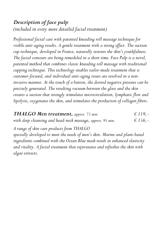*Description of face palp (included in every more detailed facial treatment)*

*Professional facial care with patented kneading roll massage technique for visible anti-aging results. A gentle treatment with a strong effect. The suction cup technique, developed in France, naturally restores the skin's youthfulness. The facial contours are being remodeled in a short time. Face Palp is a novel, patented method that combines classic kneading roll massage with traditional cupping technique. This technology enables tailor-made treatment that is customer-focused, and individual anti-aging issues are resolved in a noninvasive manner. At the touch of a button, the desired negative pressure can be precisely generated. The resulting vacuum between the glass and the skin creates a suction that strongly stimulates microcirculation, lymphatic flow and lipolysis, oxygenates the skin, and stimulates the production of collagen fibers.*

*THALGO Men treatment, approx. 75 min.*  $\epsilon$  119,– *with deep cleansing and head-neck massage, approx. 95 min.*  $\epsilon$  156,– *A range of skin care products from THALGO specially developed to meet the needs of men's skin. Marine and plant-based ingredients combined with the Ocean Blue mask result in enhanced elasticity and vitality. A facial treatment that rejuvenates and refreshes the skin with algae extracts.*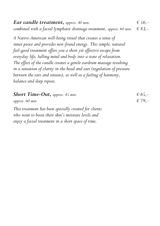*Ear candle treatment, approx.* 40 min.  $656 - 656$ *combined with a facial lymphatic drainage treatment, approx. 60 min. € 83,–*

*A Native-American well-being ritual that creates a sense of*  inner peace and provides new-found energy. This simple, natural *feel-good treatment offers you a short yet effective escape from everyday life, lulling mind and body into a state of relaxation. The effect of the candle creates a gentle eardrum massage resulting in a sensation of clarity in the head and ears (regulation of pressure between the ears and sinuses), as well as a feeling of harmony, balance and deep repose.*

| <b>Short Time-Out, approx.</b> 45 min.                | $\epsilon$ 65,- |
|-------------------------------------------------------|-----------------|
| approx. $60$ min.                                     | $\epsilon$ 79.  |
| This treatment has been specially created for clients |                 |
| who want to boost their skin's moisture levels and    |                 |
| enjoy a facial treatment in a short space of time.    |                 |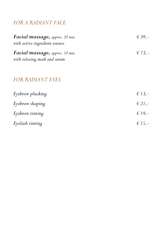# *FOR A RADIANT FACE*

| Facial massage, approx. 20 min.<br>with active-ingredient essence | € 39, $-$  |
|-------------------------------------------------------------------|------------|
| Facial massage, approx. 50 min.<br>with relaxing mask and serum   | € 73,—     |
| <b>FOR RADIANT EYES</b>                                           |            |
| Eyebrow plucking                                                  | € 13,-     |
| Eyebrow shaping                                                   | $\in$ 21,- |
| Eyebrow tinting                                                   | $\in$ 19.  |

| Eyelash tinting | $\epsilon$ 15,- |
|-----------------|-----------------|
|                 |                 |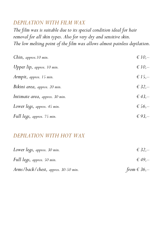# *DEPILATION WITH FILM WAX*

*The film wax is suitable due to its special condition ideal for hair removal for all skin types. Also for very dry and sensitive skin. The low melting point of the film wax allows almost painless depilation.*

| Chin, approx. 10 min.          | $\in 10,-$      |
|--------------------------------|-----------------|
| Upper lip, approx. 10 min.     | $\in 10,-$      |
| Armpit, approx. 15 min.        | $\epsilon$ 15,- |
| Bikini area, approx. 20 min.   | € 32,-          |
| Intimate area, approx. 30 min. | $\in$ 43,-      |
| Lower legs, approx. 45 min.    | € 56, $-$       |
| Full legs, approx. 75 min.     | € 93,—          |

# *DEPILATION WITH HOT WAX*

| Lower legs, approx. 30 min.         | $\in$ 32,-         |
|-------------------------------------|--------------------|
| Full legs, approx. 50 min.          | $\epsilon$ 49.     |
| Arms/back/chest, approx. 30-50 min. | from $\in$ 36, $-$ |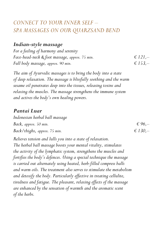# *CONNECT TO YOUR INNER SELF – SPA MASSAGES ON OUR QUARZSAND BEND*

#### *Indian-style massage*

*For a feeling of harmony and serenity Face-head-neck & foot massage, approx.* 75 min.  $E$   $121, -$ *Full body massage, approx. 90 min.*  $\epsilon$  *f*  $153,$ 

*The aim of Ayurvedic massages is to bring the body into a state of deep relaxation. The massage is blissfully soothing and the warm sesame oil penetrates deep into the tissues, releasing toxins and relaxing the muscles. The massage strengthens the immune system and actives the body's own healing powers.*

#### *Pantai Luar*

*Indonesian herbal ball massage Back, approx.* 50 min.  $\epsilon$  96,– *Back/thighs, approx.* 75 min.  $\epsilon$  130,–

*Relieves tension and lulls you into a state of relaxation. The herbal ball massage boosts your mental vitality, stimulates the activity of the lymphatic system, strengthens the muscles and fortifies the body's defences. Using a special technique the massage is carried out alternately using heated, herb-filled compress balls and warm oils. The treatment also serves to stimulate the metabolism and detoxify the body. Particularly effective in treating cellulite, tiredness and fatigue. The pleasant, relaxing effects of the massage are enhanced by the sensation of warmth and the aromatic scent of the herbs.*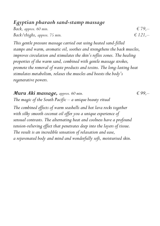#### *Egyptian pharaoh sand-stamp massage*

*Back, approx.* 60 min.  $\epsilon$  79,– *Back/thighs, approx.* 75 *min.*  $\epsilon$  *121,* 

*This gentle pressure massage carried out using heated sand-filled stamps and warm, aromatic oil, soothes and strengthens the back muscles, improves circulation and stimulates the skin's reflex zones. The healing properties of the warm sand, combined with gentle massage strokes, promote the removal of waste products and toxins. The long-lasting heat stimulates metabolism, relaxes the muscles and boosts the body's regenerative powers.*

*Muru Aki massage, approx.*  $60$  min.  $699$ ,  $-$ *The magic of the South Pacific – a unique beauty ritual The combined effects of warm seashells and hot lava rocks together with silky smooth coconut oil offer you a unique experience of sensual contrasts. The alternating heat and coolness have a profound tension-relieving effect that penetrates deep into the layers of tissue. The result is an incredible sensation of relaxation and ease, a rejuvenated body and mind and wonderfully soft, moisturised skin.*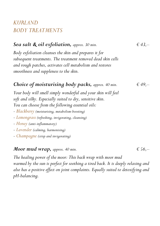# *KURLAND BODY TREATMENTS*

#### *Sea salt & oil exfoliation, approx.* 30 min.  $643, -643$

*Body exfoliation cleanses the skin and prepares it for subsequent treatments. The treatment removed dead skin cells and rough patches, activates cell metabolism and restores smoothness and suppleness to the skin.*

#### *Choice of moisturising body packs, approx. 40 min.*  $649, -64$

*Your body will smell simply wonderful and your skin will feel soft and silky. Especially suited to dry, sensitive skin. You can choose from the following essential oils:*

- *- Blackberry (moisturising, metabolism-boosting)*
- *- Lemongrass (refreshing, invigorating, cleansing)*
- *- Honey (anti-inflammatory)*
- *- Lavender (calming, harmonising)*
- *- Champagne (crisp and invigorating)*

#### *Moor mud wrap, approx. 40 min.*  $656 -$

*The healing power of the moor: This back wrap with moor mud warmed by the sun is perfect for soothing a tired back. It is deeply relaxing and also has a positive effect on joint complaints. Equally suited to detoxifying and pH-balancing.*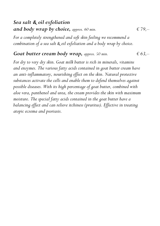# *Sea salt & oil exfoliation and body wrap by choice, approx. 60 min.*  $\epsilon$  79,–

*For a completely strengthened and soft skin feeling we recommend a combination of a sea salt & oil exfoliation and a body wrap by choice.*

#### *Goat butter cream body wrap, approx.* 50 *min.*  $663, -466$

*For dry to very dry skin. Goat milk butter is rich in minerals, vitamins and enzymes. The various fatty acids contained in goat butter cream have an anti-inflammatory, nourishing effect on the skin. Natural protective substances activate the cells and enable them to defend themselves against possible diseases. With its high percentage of goat butter, combined with aloe vera, panthenol and urea, the cream provides the skin with maximum moisture. The special fatty acids contained in the goat butter have a balancing effect and can relieve itchiness (pruritus). Effective in treating atopic eczema and psoriasis.*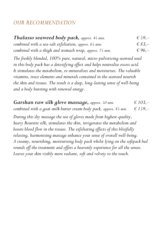# *OUR RECOMMENDATION*

| Thalasso seaweed body pack, approx. 45 min.             | $\epsilon$ 59,- |
|---------------------------------------------------------|-----------------|
| combined with a sea-salt exfoliation, approx. 65 min.   | $\in$ 83.       |
| combined with a thigh and stomach wrap, approx. 75 min. | $\epsilon$ 96.  |

*The freshly blended, 100% pure, natural, micro-pulverizing seaweed used in this body pack has a detoxifying effect and helps neutralise excess acid. It stimulates the metabolism, re-mineralises and moisturises. The valuable vitamins, trace elements and minerals contained in the seaweed nourish the skin and tissues. The result is a deep, long-lasting sense of well-being and a body bursting with renewed energy.*

*Garshan raw silk glove massage, approx. 50 min. € 103,– combined with a goat-milk butter cream body pack, approx. 85 min € 159,– During this dry massage the use of gloves made from highest-quality, heavy Bourette silk, stimulates the skin, invigorates the metabolism and boosts blood flow in the tissues. The exfoliating effects of this blissfully relaxing, harmonising massage enhance your sense of overall well-being. A creamy, nourishing, moisturising body pack whilst lying on the softpack bed rounds off the treatment and offers a heavenly experience for all the senses. Leaves your skin visibly more radiant, soft and velvety to the touch.*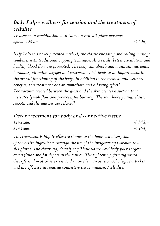# *Body Palp - wellness for tension and the treatment of cellulite*

*Treatment in combination with Garshan raw silk glove massage approx. 120 min*  $\epsilon$  *f* 196*<i>,* $-$ 

*Body Palp is a novel patented method, the classic kneading and rolling massage combines with traditional cupping technique. As a result, better circulation and healthy blood flow are promoted. The body can absorb and maintain nutrients, hormones, vitamins, oxygen and enzymes, which leads to an improvement in the overall functioning of the body. In addition to the medical and wellness benefits, this treatment has an immediate and a lasting effect! The vacuum created between the glass and the skin creates a suction that activates lymph flow and promotes fat burning. The skin looks young, elastic, smooth and the muscles are relaxed!*

#### *Detox treatment for body and connective tissue*

| $1x$ 95 min. | $\in$ 143,-      |
|--------------|------------------|
| $3x$ 95 min. | $\epsilon$ 364,- |

*This treatment is highly effective thanks to the improved absorption of the active ingredients through the use of the invigorating Garshan raw silk gloves. The cleansing, detoxifying Thalasso seaweed body pack targets excess fluids and fat depots in the tissues. The tightening, firming wraps detoxify and neutralise excess acid in problem areas (stomach, legs, buttocks) and are effective in treating connective tissue weakness/cellulite.*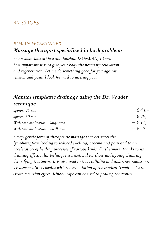# *MASSAGES*

#### *ROMAN FEYERSINGER*

#### *Massage therapist specialized in back problems*

*As an ambitious athlete and fourfold IRONMAN, I know how important it is to give your body the necessary relaxation and regeneration. Let me do something good for you against tension and pain. I look forward to meeting you.*

#### *Manual lymphatic drainage using the Dr. Vodder technique*

| approx. $25$ min.                    | $\epsilon$ 44,-  |
|--------------------------------------|------------------|
| approx. $50$ min.                    | $\epsilon$ 79,-  |
| With tape application $-$ large area | $+ \in 11, -$    |
| With tape application $-$ small area | $+ \epsilon$ 7,- |

*A very gentle form of therapeutic massage that activates the lymphatic flow leading to reduced swelling, oedema and pain and to an acceleration of healing processes of various kinds. Furthermore, thanks to its draining effects, this technique is beneficial for those undergoing cleansing, detoxifying treatment. It is also used to treat cellulite and aids stress reduction. Treatment always begins with the stimulation of the cervical lymph nodes to create a suction effect. Kinesio tape can be used to prolong the results.*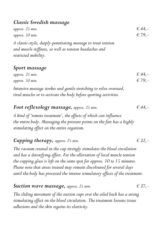#### *Classic Swedish massage*

| approx. $25$ min.                                                                                                                              | $\in$ 44,-      |
|------------------------------------------------------------------------------------------------------------------------------------------------|-----------------|
| approx. $50$ min.                                                                                                                              | $\epsilon$ 79,- |
| A classic-style, deeply-penetrating massage to treat tension<br>and muscle stiffness, as well as tension headaches and<br>restricted mobility. |                 |

#### *Sport massage*

| approx. $25$ min. | $\epsilon$ 44,- |
|-------------------|-----------------|
| approx. 50 min.   | $\epsilon$ 79,- |

*Intensive massage strokes and gentle stretching to relax overused, tired muscles or to activate the body before sporting activities.* 

| Foot reflexology massage, approx. 25 min. |  | $\epsilon$ 44. |
|-------------------------------------------|--|----------------|
|-------------------------------------------|--|----------------|

*A kind of 'remote treatment', the effects of which can influence the entire body. Massaging the pressure points on the feet has a highly stimulating effect on the entire organism.*

# **Cupping therapy,** *approx.* 25 min.  $\epsilon$  32,–

*The vacuum created in the cup strongly stimulates the blood circulation and has a detoxifying effect. For the alleviation of local muscle tension the cupping glass is left on the same spot for approx. 10 to 15 minutes. Please note that areas treated may remain discoloured for several days until the body has processed the intense stimulatory effects of the treatment.*

#### **Suction wave massage,** *approx.* 25 min.  $\epsilon$  37,–

*The sliding movement of the suction cups over the oiled back has a strong stimulating effect on the blood circulation. The treatment loosens tissue adhesions and the skin regains its elasticity.*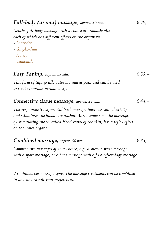| Full-body (aroma) massage, approx. 50 min.                                                     | $\in$ 79,- |
|------------------------------------------------------------------------------------------------|------------|
| Gentle, full-body massage with a choice of aromatic oils,                                      |            |
| each of which has different effects on the organism                                            |            |
| - Lavender                                                                                     |            |
| - Gingko-lime                                                                                  |            |
| - Honey                                                                                        |            |
| - Camomile                                                                                     |            |
|                                                                                                |            |
| <b>Easy Taping, approx.</b> 25 min.                                                            | $\in$ 35,- |
| This form of taping alleviates movement pain and can be used<br>to treat symptoms permanently. |            |
|                                                                                                |            |

#### *Connective tissue massage, approx.* 25 min.  $644, -64$

*The very intensive segmental back massage improves skin elasticity and stimulates the blood circulation. At the same time the massage, by stimulating the so-called Head zones of the skin, has a reflex effect on the inner organs.* 

#### *Combined massage, approx.* 50 *min.*  $\in$  83,–

*Combine two massages of your choice, e.g. a suction wave massage with a sport massage, or a back massage with a foot reflexology massage.*

*25 minutes per massage type. The massage treatments can be combined in any way to suit your preferences.*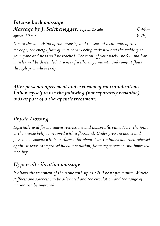#### *Intense back massage Massage by J. Salchenegger, approx. 25 min*  $644,$ *approx.* 50 min  $\epsilon$  79,–

*Due to the slow rising of the intensity and the special techniques of this*  massage, the energy flow of your back is being activated and the mobility in *your spine and head will be reached. The tonus of your back-, neck-, and loin muscles will be descended. A sense of well-being, warmth and comfort flows through your whole body.* 

*After personal agreement and exclusion of contraindications, I allow myself to use the following (not separately bookable) aids as part of a therapeutic treatment:*

# *Physio Flossing*

*Especially used for movement restrictions and nonspecific pain. Here, the joint or the muscle belly is wrapped with a flossband. Under pressure active and passive movements will be performed for about 2 to 3 minutes and then released again. It leads to improved blood circulation, faster regeneration and improved mobility.*

#### *Hypervolt vibration massage*

*It allows the treatment of the tissue with up to 3200 beats per minute. Muscle stiffness and soreness can be alleviated and the circulation and the range of motion can be improved.*